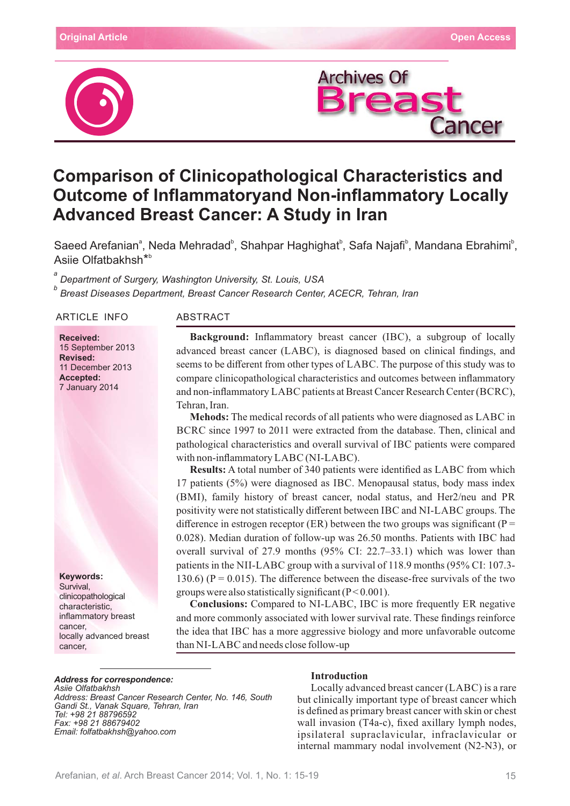



# **Comparison of Clinicopathological Characteristics and Outcome of Inflammatoryand Non-inflammatory Locally Advanced Breast Cancer: A Study in Iran**

Saeed Arefanian<sup>ª</sup>, Neda Mehradad<sup>b</sup>, Shahpar Haghighat<sup>b</sup>, Safa Najafi<sup>b</sup>, Mandana Ebrahimi<sup>b</sup>, Asiie Olfatbakhsh\* b

*a Department of Surgery, Washington University, St. Louis, USA b Breast Diseases Department, Breast Cancer Research Center, ACECR, Tehran, Iran*

ARTICLE INFO ABSTRACT

**Received:** 15 September 2013 **Revised:** 11 December 2013 **Accepted:** 7 January 2014

**Keywords:** Survival, clinicopathological characteristic, inflammatory breast cancer, locally advanced breast cancer,

**Background:** Inflammatory breast cancer (IBC), a subgroup of locally advanced breast cancer (LABC), is diagnosed based on clinical findings, and seems to be different from other types of LABC. The purpose of this study was to compare clinicopathological characteristics and outcomes between inflammatory and non-inflammatory LABC patients at Breast Cancer Research Center (BCRC), Tehran, Iran.

**Mehods:** The medical records of all patients who were diagnosed as LABC in BCRC since 1997 to 2011 were extracted from the database. Then, clinical and pathological characteristics and overall survival of IBC patients were compared with non-inflammatory LABC (NI-LABC).

**Results:** A total number of 340 patients were identified as LABC from which 17 patients  $(5%)$  were diagnosed as IBC. Menopausal status, body mass index (BMI), family history of breast cancer, nodal status, and Her2/neu and PR positivity were not statistically different between IBC and NI-LABC groups. The difference in estrogen receptor (ER) between the two groups was significant ( $P =$ 0.028). Median duration of follow-up was  $26.50$  months. Patients with IBC had overall survival of 27.9 months  $(95\% \text{ CI: } 22.7-33.1)$  which was lower than patients in the NII-LABC group with a survival of  $118.9$  months (95% CI: 107.3-130.6) ( $P = 0.015$ ). The difference between the disease-free survivals of the two groups were also statistically significant  $(P< 0.001)$ .

**Conclusions:** Compared to NI-LABC, IBC is more frequently ER negative and more commonly associated with lower survival rate. These findings reinforce the idea that IBC has a more aggressive biology and more unfavorable outcome than NI-LABC and needs close follow-up

#### *Address for correspondence:*

*Asiie Olfatbakhsh Address: Breast Cancer Research Center, No. 146, South Gandi St., Vanak Square, Tehran, Iran Tel: +98 21 88796592 Fax: +98 21 88679402 Email: folfatbakhsh@yahoo.com*

#### **Introduction**

Locally advanced breast cancer  $(LABC)$  is a rare but clinically important type of breast cancer which is defined as primary breast cancer with skin or chest wall invasion (T4a-c), fixed axillary lymph nodes, ipsilateral supraclavicular, infraclavicular or internal mammary nodal involvement (N2-N3), or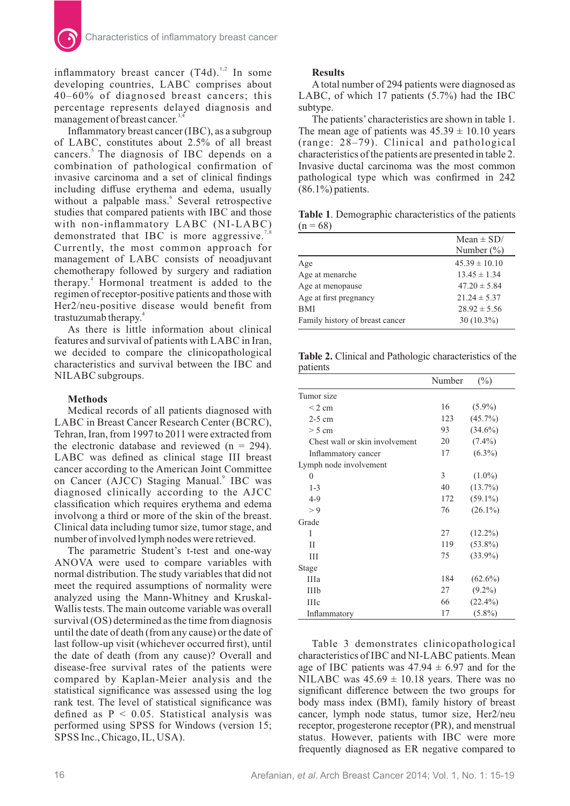inflammatory breast cancer  $(T4d)$ .<sup>1,2</sup> In some developing countries, LABC comprises about 40–60% of diagnosed breast cancers; this percentage represents delayed diagnosis and management of breast cancer.<sup>3,4</sup>

Inflammatory breast cancer  $(1BC)$ , as a subgroup of LABC, constitutes about  $2.5\%$  of all breast cancers.<sup>5</sup> The diagnosis of IBC depends on a combination of pathological confirmation of invasive carcinoma and a set of clinical findings including diffuse erythema and edema, usually without a palpable mass.<sup>6</sup> Several retrospective studies that compared patients with IBC and those with non-inflammatory LABC (NI-LABC) demonstrated that IBC is more aggressive.<sup>7</sup> Currently, the most common approach for management of LABC consists of neoadjuvant chemotherapy followed by surgery and radiation therapy. $4$  Hormonal treatment is added to the regimen of receptor-positive patients and those with Her2/neu-positive disease would benefit from trastuzumab therapy.<sup>4</sup>

As there is little information about clinical features and survival of patients with LABC in Iran, we decided to compare the clinicopathological characteristics and survival between the IBC and NILABC subgroups.

#### **Methods**

Medical records of all patients diagnosed with LABC in Breast Cancer Research Center (BCRC), Tehran, Iran, from 1997 to 2011 were extracted from the electronic database and reviewed  $(n = 294)$ . LABC was defined as clinical stage III breast cancer according to the American Joint Committee on Cancer (AJCC) Staging Manual.<sup>9</sup> IBC was diagnosed clinically according to the AJCC classification which requires erythema and edema involvong a third or more of the skin of the breast. Clinical data including tumor size, tumor stage, and number of involved lymph nodes were retrieved.

The parametric Student's t-test and one-way ANOVA were used to compare variables with normal distribution. The study variables that did not meet the required assumptions of normality were analyzed using the Mann-Whitney and Kruskal-Wallis tests. The main outcome variable was overall  $survival (OS) determined as the time from diagnosis$ until the date of death (from any cause) or the date of last follow-up visit (whichever occurred first), until the date of death (from any cause)? Overall and disease-free survival rates of the patients were compared by Kaplan-Meier analysis and the statistical significance was assessed using the log rank test. The level of statistical significance was defined as  $P < 0.05$ . Statistical analysis was performed using SPSS for Windows (version 15; SPSS Inc., Chicago, IL, USA).

### **Results**

A total number of 294 patients were diagnosed as LABC, of which 17 patients  $(5.7%)$  had the IBC subtype.

The patients'characteristics are shown in table 1. The mean age of patients was  $45.39 \pm 10.10$  years (range: 28–79). Clinical and pathological characteristics of the patients are presented in table 2. Invasive ductal carcinoma was the most common pathological type which was confirmed in 242  $(86.1\%)$  patients.

**Table 1**. Demographic characteristics of the patients  $(n = 68)$ 

|                                 | Mean $\pm$ SD/<br>Number $(\%)$ |
|---------------------------------|---------------------------------|
| Age                             | $45.39 \pm 10.10$               |
| Age at menarche                 | $13.45 \pm 1.34$                |
| Age at menopause                | $47.20 \pm 5.84$                |
| Age at first pregnancy          | $21.24 \pm 5.37$                |
| <b>BMI</b>                      | $28.92 \pm 5.56$                |
| Family history of breast cancer | $30(10.3\%)$                    |

**Table 2.** Clinical and Pathologic characteristics of the patients

|                                | Number | $(\%)$     |
|--------------------------------|--------|------------|
| Tumor size                     |        |            |
| $\leq$ 2 cm                    | 16     | $(5.9\%)$  |
| $2-5$ cm                       | 123    | $(45.7\%)$ |
| $> 5$ cm                       | 93     | $(34.6\%)$ |
| Chest wall or skin involvement | 20     | $(7.4\%)$  |
| Inflammatory cancer            | 17     | $(6.3\%)$  |
| Lymph node involvement         |        |            |
| $\theta$                       | 3      | $(1.0\%)$  |
| $1 - 3$                        | 40     | $(13.7\%)$ |
| $4 - 9$                        | 172    | $(59.1\%)$ |
| > 9                            | 76     | $(26.1\%)$ |
| Grade                          |        |            |
| I                              | 27     | $(12.2\%)$ |
| H                              | 119    | $(53.8\%)$ |
| Ш                              | 75     | $(33.9\%)$ |
| Stage                          |        |            |
| IIIa                           | 184    | $(62.6\%)$ |
| IIIb                           | 27     | $(9.2\%)$  |
| <b>IIIc</b>                    | 66     | $(22.4\%)$ |
| Inflammatory                   | 17     | $(5.8\%)$  |

Table 3 demonstrates clinicopathological characteristics of IBC and NI-LABC patients. Mean age of IBC patients was  $47.94 \pm 6.97$  and for the NILABC was  $45.69 \pm 10.18$  years. There was no significant difference between the two groups for body mass index (BMI), family history of breast cancer, lymph node status, tumor size, Her2/neu receptor, progesterone receptor (PR), and menstrual status. However, patients with IBC were more frequently diagnosed as ER negative compared to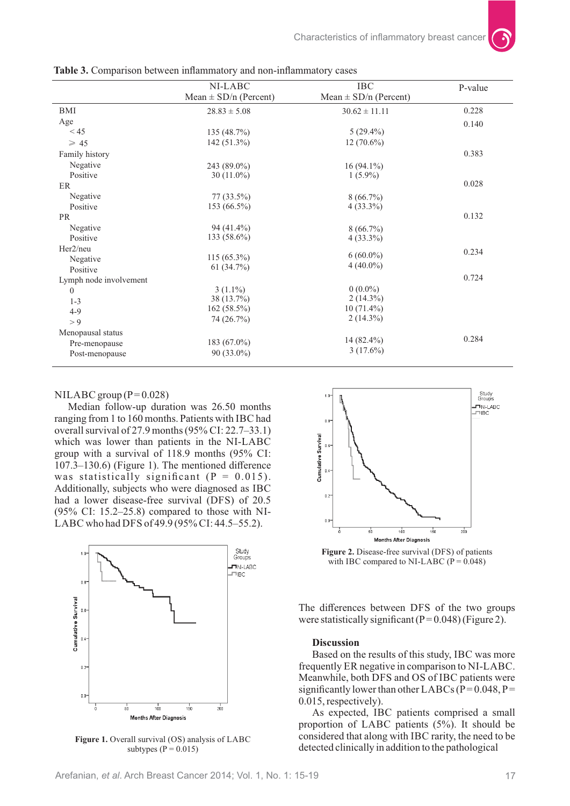|                        | NI-LABC                   | <b>IBC</b>                | P-value |
|------------------------|---------------------------|---------------------------|---------|
|                        | Mean $\pm$ SD/n (Percent) | Mean $\pm$ SD/n (Percent) |         |
| BMI                    | $28.83 \pm 5.08$          | $30.62 \pm 11.11$         | 0.228   |
| Age                    |                           |                           | 0.140   |
| < 45                   | 135(48.7%)                | $5(29.4\%)$               |         |
| $\geq 45$              | $142(51.3\%)$             | $12(70.6\%)$              |         |
| Family history         |                           |                           | 0.383   |
| Negative               | 243 (89.0%)               | $16(94.1\%)$              |         |
| Positive               | $30(11.0\%)$              | $1(5.9\%)$                |         |
| ER                     |                           |                           | 0.028   |
| Negative               | $77(33.5\%)$              | $8(66.7\%)$               |         |
| Positive               | $153(66.5\%)$             | $4(33.3\%)$               |         |
| <b>PR</b>              |                           |                           | 0.132   |
| Negative               | $94(41.4\%)$              | $8(66.7\%)$               |         |
| Positive               | $133(58.6\%)$             | $4(33.3\%)$               |         |
| Her2/neu               |                           |                           | 0.234   |
| Negative               | $115(65.3\%)$             | $6(60.0\%)$               |         |
| Positive               | 61 $(34.7\%)$             | $4(40.0\%)$               |         |
| Lymph node involvement |                           |                           | 0.724   |
| $\mathbf{0}$           | $3(1.1\%)$                | $0(0.0\%)$                |         |
| $1 - 3$                | 38 (13.7%)                | $2(14.3\%)$               |         |
| $4-9$                  | $162(58.5\%)$             | $10(71.4\%)$              |         |
| > 9                    | 74 (26.7%)                | $2(14.3\%)$               |         |
| Menopausal status      |                           |                           |         |
| Pre-menopause          | 183 (67.0%)               | $14(82.4\%)$              | 0.284   |
| Post-menopause         | $90(33.0\%)$              | $3(17.6\%)$               |         |

**Table 3.** Comparison between inflammatory and non-inflammatory cases

#### $NILABC$  group (P=0.028)

Median follow-up duration was 26.50 months ranging from 1 to 160 months. Patients with IBC had overall survival of 27.9 months  $(95\%$  CI: 22.7–33.1) which was lower than patients in the NI-LABC group with a survival of  $118.9$  months  $(95\% \text{ CI})$ : 107.3–130.6) (Figure 1). The mentioned difference was statistically significant  $(P = 0.015)$ . Additionally, subjects who were diagnosed as IBC had a lower disease-free survival (DFS) of 20.5  $(95\% \text{ CI: } 15.2-25.8)$  compared to those with NI-LABC who had DFS of 49.9 (95% CI: 44.5–55.2).



**Figure 1.** Overall survival (OS) analysis of LABC subtypes  $(P = 0.015)$ 



**Figure 2.** Disease-free survival (DFS) of patients with IBC compared to NI-LABC ( $P = 0.048$ )

The differences between DFS of the two groups were statistically significant ( $P = 0.048$ ) (Figure 2).

#### **Discussion**

Based on the results of this study, IBC was more frequently ER negative in comparison to NI-LABC. Meanwhile, both DFS and OS of IBC patients were significantly lower than other LABCs ( $P = 0.048$ ,  $P =$ 0.015, respectively).

As expected, IBC patients comprised a small proportion of LABC patients  $(5%)$ . It should be considered that along with IBC rarity, the need to be detected clinically in addition to the pathological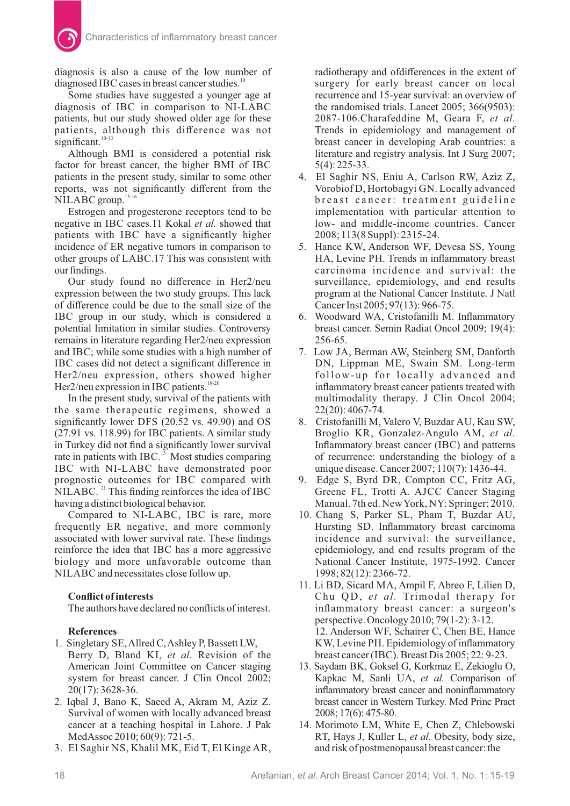diagnosis is also a cause of the low number of diagnosed IBC cases in breast cancer studies. $^{10}$ 

Some studies have suggested a younger age at diagnosis of IBC in comparison to NI-LABC patients, but our study showed older age for these patients, although this difference was not significant.<sup>10-13</sup>

Although BMI is considered a potential risk factor for breast cancer, the higher BMI of IBC patients in the present study, similar to some other reports, was not significantly different from the NILABC group.<sup>13-16</sup>

Estrogen and progesterone receptors tend to be negative in IBC cases.11 Kokal et al. showed that patients with IBC have a significantly higher incidence of ER negative tumors in comparison to other groups of LABC.17 This was consistent with our findings.

Our study found no difference in Her2/neu expression between the two study groups. This lack of difference could be due to the small size of the IBC group in our study, which is considered a potential limitation in similar studies. Controversy remains in literature regarding Her2/neu expression and IBC; while some studies with a high number of IBC cases did not detect a significant difference in Her2/neu expression, others showed higher Her2/neu expression in IBC patients.<sup>18-20</sup>

In the present study, survival of the patients with the same therapeutic regimens, showed a significantly lower DFS  $(20.52 \text{ vs. } 49.90)$  and OS  $(27.91 \text{ vs. } 118.99)$  for IBC patients. A similar study in Turkey did not find a significantly lower survival rate in patients with  $\text{HC}^{13}$ . Most studies comparing IBC with NI-LABC have demonstrated poor prognostic outcomes for IBC compared with  $NILABC$ . <sup>21</sup> This finding reinforces the idea of IBC having a distinct biological behavior.

Compared to NI-LABC, IBC is rare, more frequently ER negative, and more commonly associated with lower survival rate. These findings reinforce the idea that IBC has a more aggressive biology and more unfavorable outcome than NILABC and necessitates close follow up.

## **Conflict of interests**

The authors have declared no conflicts of interest.

# **References**

- 1. Singletary SE, Allred C, Ashley P, Bassett LW, Berry D, Bland KI, et al. Revision of the American Joint Committee on Cancer staging system for breast cancer. J Clin Oncol 2002; 20(17): 3628-36.
- 2. Iqbal J, Bano K, Saeed A, Akram M, Aziz Z. Survival of women with locally advanced breast cancer at a teaching hospital in Lahore. J Pak MedAssoc 2010; 60(9): 721-5.
- 3. El Saghir NS, Khalil MK, Eid T, El Kinge AR,

radiotherapy and ofdifferences in the extent of surgery for early breast cancer on local recurrence and 15-year survival: an overview of the randomised trials. Lancet 2005; 366(9503): 2087-106.Charafeddine M, Geara F, *et al.* Trends in epidemiology and management of breast cancer in developing Arab countries: a literature and registry analysis. Int J Surg 2007; 5(4): 225-33.

- 4. El Saghir NS, Eniu A, Carlson RW, Aziz Z, Vorobiof D, Hortobagyi GN. Locally advanced breast cancer: treatment guideline implementation with particular attention to low- and middle-income countries. Cancer 2008; 113(8 Suppl): 2315-24.
- 5. Hance KW, Anderson WF, Devesa SS, Young HA, Levine PH. Trends in inflammatory breast carcinoma incidence and survival: the surveillance, epidemiology, and end results program at the National Cancer Institute. J Natl Cancer Inst 2005; 97(13): 966-75.
- 6. Woodward WA, Cristofanilli M. Inflammatory breast cancer. Semin Radiat Oncol 2009; 19(4): 256-65.
- 7. Low JA, Berman AW, Steinberg SM, Danforth DN, Lippman ME, Swain SM. Long-term follow-up for locally advanced and inflammatory breast cancer patients treated with multimodality therapy. J Clin Oncol 2004; 22(20): 4067-74.
- 8. Cristofanilli M, Valero V, Buzdar AU, Kau SW, Broglio KR, Gonzalez-Angulo AM, et al. Inflammatory breast cancer (IBC) and patterns of recurrence: understanding the biology of a unique disease. Cancer 2007; 110(7): 1436-44.
- 9. Edge S, Byrd DR, Compton CC, Fritz AG, Greene FL, Trotti A. AJCC Cancer Staging Manual. 7th ed. New York, NY: Springer; 2010.
- 10. Chang S, Parker SL, Pham T, Buzdar AU, Hursting SD. Inflammatory breast carcinoma incidence and survival: the surveillance, epidemiology, and end results program of the National Cancer Institute, 1975-1992. Cancer 1998; 82(12): 2366-72.
- 11. Li BD, Sicard MA, Ampil F, Abreo F, Lilien D, Chu QD, et al. Trimodal therapy for inflammatory breast cancer: a surgeon's perspective. Oncology 2010; 79(1-2): 3-12. 12. Anderson WF, Schairer C, Chen BE, Hance KW, Levine PH. Epidemiology of inflammatory breast cancer ( $\text{IBC}$ ). Breast Dis 2005; 22: 9-23.
- 13. Saydam BK, Goksel G, Korkmaz E, Zekioglu O, Kapkac M, Sanli UA, et al. Comparison of inflammatory breast cancer and noninflammatory breast cancer in Western Turkey. Med Princ Pract 2008; 17(6): 475-80.
- 14. Morimoto LM, White E, Chen Z, Chlebowski RT, Hays J, Kuller L, et al. Obesity, body size, and risk of postmenopausal breast cancer: the